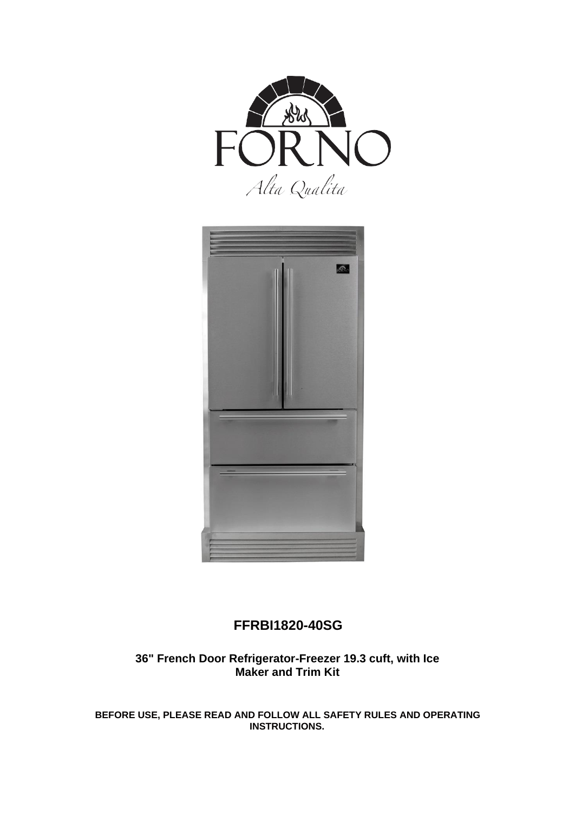



## **FFRBI1820-40SG**

**36" French Door Refrigerator-Freezer 19.3 cuft, with Ice Maker and Trim Kit**

**BEFORE USE, PLEASE READ AND FOLLOW ALL SAFETY RULES AND OPERATING INSTRUCTIONS.**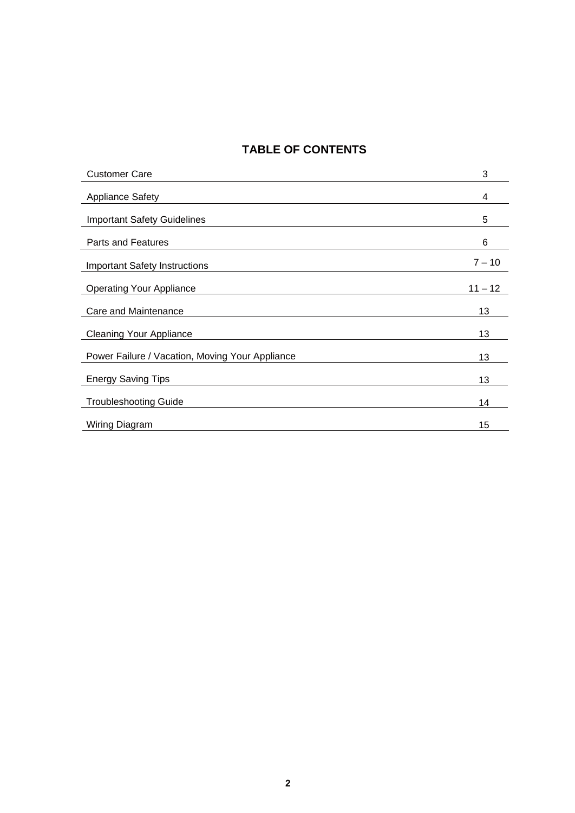## **TABLE OF CONTENTS**

| <b>Customer Care</b>                            | 3         |
|-------------------------------------------------|-----------|
| <b>Appliance Safety</b>                         | 4         |
| <b>Important Safety Guidelines</b>              | 5         |
| <b>Parts and Features</b>                       | 6         |
| <b>Important Safety Instructions</b>            | $7 - 10$  |
| <b>Operating Your Appliance</b>                 | $11 - 12$ |
| Care and Maintenance                            | 13        |
| <b>Cleaning Your Appliance</b>                  | 13        |
| Power Failure / Vacation, Moving Your Appliance | 13        |
| <b>Energy Saving Tips</b>                       | 13        |
| <b>Troubleshooting Guide</b>                    | 14        |
| Wiring Diagram                                  | 15        |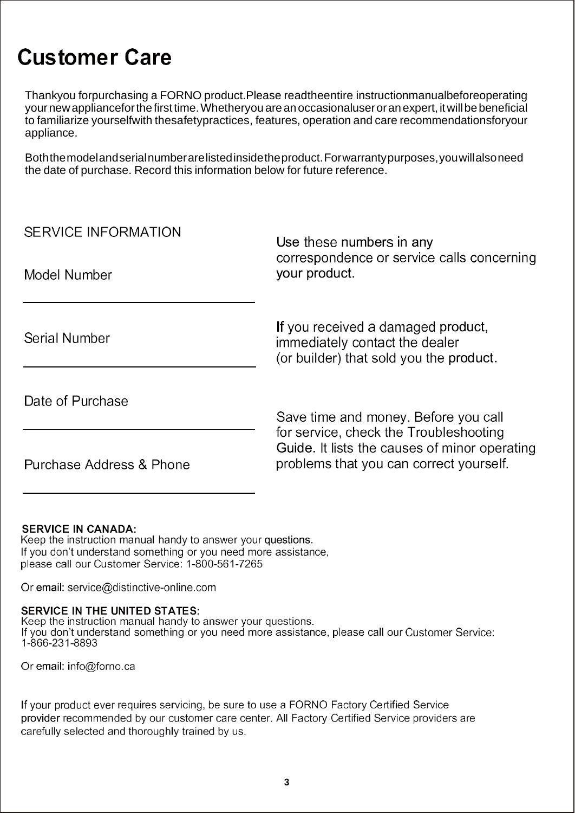## **Customer Care**

Thankyou forpurchasing a FORNO product.Please readtheentire instructionmanualbeforeoperating your new appliancefor the first time. Whetheryou are an occasionaluser or an expert, it will be beneficial to familiarize yourselfwith thesafetypractices, features, operation and care recommendationsforyour appliance.

Boththemodelandserialnumberarelistedinsidetheproduct.Forwarrantypurposes,youwillalsoneed the date of purchase. Record this information below for future reference.

| <b>SERVICE INFORMATION</b> | Use these numbers in any<br>correspondence or service calls concerning<br>your product.                                            |  |
|----------------------------|------------------------------------------------------------------------------------------------------------------------------------|--|
| Model Number               |                                                                                                                                    |  |
| Serial Number              | If you received a damaged product,<br>immediately contact the dealer<br>(or builder) that sold you the product.                    |  |
| Date of Purchase           | Save time and money. Before you call                                                                                               |  |
| Purchase Address & Phone   | for service, check the Troubleshooting<br>Guide. It lists the causes of minor operating<br>problems that you can correct yourself. |  |

## **SERVICE IN CANADA:**

Keep the instruction manual handy to answer your questions. If you don't understand something or you need more assistance, please call our Customer Service: 1-800-561-7265

Or email: service@distinctive-online.com

## **SERVICE IN THE UNITED STATES:**

Keep the instruction manual handy to answer your questions. If you don't understand something or you need more assistance, please call our Customer Service: 1-866-231-8893

Or email: info@forno.ca

If your product ever requires servicing, be sure to use a FORNO Factory Certified Service provider recommended by our customer care center. All Factory Certified Service providers are carefully selected and thoroughly trained by us.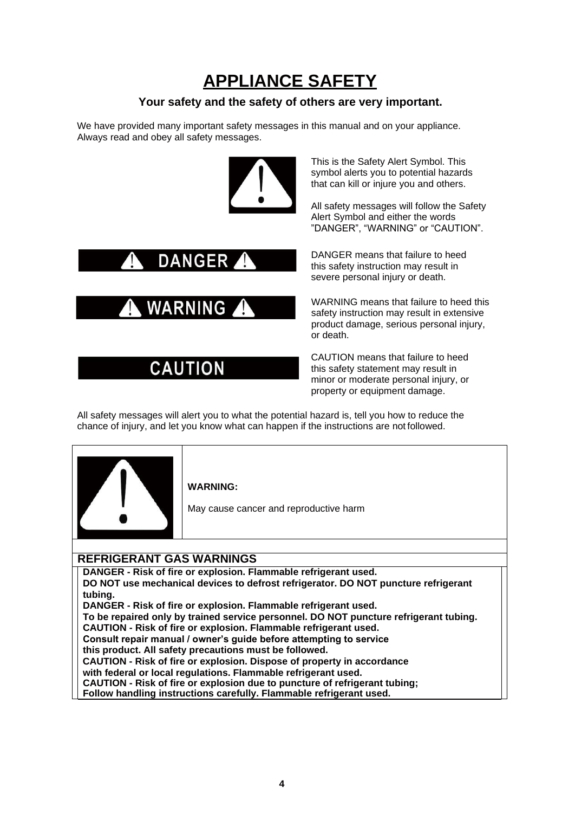## **APPLIANCE SAFETY**

## **Your safety and the safety of others are very important.**

We have provided many important safety messages in this manual and on your appliance. Always read and obey all safety messages.



symbol alerts you to potential hazards that can kill or injure you and others.

This is the Safety Alert Symbol. This

All safety messages will follow the Safety Alert Symbol and either the words "DANGER", "WARNING" or "CAUTION".

DANGER means that failure to heed this safety instruction may result in severe personal injury or death.

WARNING means that failure to heed this safety instruction may result in extensive product damage, serious personal injury, or death.

CAUTION means that failure to heed this safety statement may result in minor or moderate personal injury, or property or equipment damage.

All safety messages will alert you to what the potential hazard is, tell you how to reduce the chance of injury, and let you know what can happen if the instructions are not followed.



**WARNING:**

DANGER

WARNING

CAUTION

May cause cancer and reproductive harm

## **REFRIGERANT GAS WARNINGS**

**DANGER - Risk of fire or explosion. Flammable refrigerant used.**

**DO NOT use mechanical devices to defrost refrigerator. DO NOT puncture refrigerant tubing.**

**DANGER - Risk of fire or explosion. Flammable refrigerant used.**

**To be repaired only by trained service personnel. DO NOT puncture refrigerant tubing.** 

**CAUTION - Risk of fire or explosion. Flammable refrigerant used.**

**Consult repair manual / owner's guide before attempting to service** 

**this product. All safety precautions must be followed.**

**CAUTION - Risk of fire or explosion. Dispose of property in accordance** 

**with federal or local regulations. Flammable refrigerant used.**

**CAUTION - Risk of fire or explosion due to puncture of refrigerant tubing;** 

**Follow handling instructions carefully. Flammable refrigerant used.**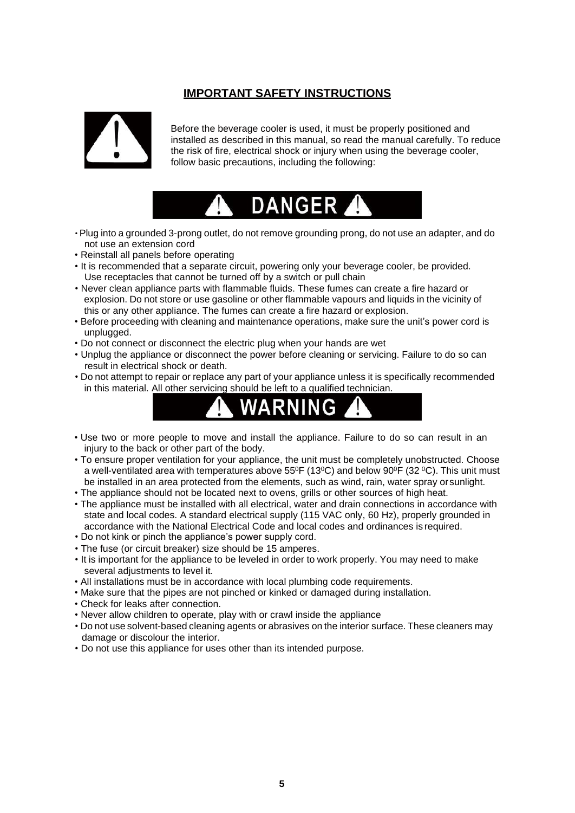## **IMPORTANT SAFETY INSTRUCTIONS**

<span id="page-4-0"></span>

Before the beverage cooler is used, it must be properly positioned and installed as described in this manual, so read the manual carefully. To reduce the risk of fire, electrical shock or injury when using the beverage cooler, follow basic precautions, including the following:

# **DANGER**

- •Plug into a grounded 3-prong outlet, do not remove grounding prong, do not use an adapter, and do not use an extension cord
- Reinstall all panels before operating
- It is recommended that a separate circuit, powering only your beverage cooler, be provided. Use receptacles that cannot be turned off by a switch or pull chain
- Never clean appliance parts with flammable fluids. These fumes can create a fire hazard or explosion. Do not store or use gasoline or other flammable vapours and liquids in the vicinity of this or any other appliance. The fumes can create a fire hazard or explosion.
- Before proceeding with cleaning and maintenance operations, make sure the unit's power cord is unplugged.
- Do not connect or disconnect the electric plug when your hands are wet
- Unplug the appliance or disconnect the power before cleaning or servicing. Failure to do so can result in electrical shock or death.
- Do not attempt to repair or replace any part of your appliance unless it is specifically recommended in this material. All other servicing should be left to a qualified technician.



- Use two or more people to move and install the appliance. Failure to do so can result in an injury to the back or other part of the body.
- To ensure proper ventilation for your appliance, the unit must be completely unobstructed. Choose a well-ventilated area with temperatures above  $55^{\circ}$ F (13 $^{\circ}$ C) and below 90 $^{\circ}$ F (32  $^{\circ}$ C). This unit must be installed in an area protected from the elements, such as wind, rain, water spray orsunlight.
- The appliance should not be located next to ovens, grills or other sources of high heat.
- The appliance must be installed with all electrical, water and drain connections in accordance with state and local codes. A standard electrical supply (115 VAC only, 60 Hz), properly grounded in accordance with the National Electrical Code and local codes and ordinances is required.
- Do not kink or pinch the appliance's power supply cord.
- The fuse (or circuit breaker) size should be 15 amperes.
- It is important for the appliance to be leveled in order to work properly. You may need to make several adjustments to level it.
- All installations must be in accordance with local plumbing code requirements.
- Make sure that the pipes are not pinched or kinked or damaged during installation.
- Check for leaks after connection.
- Never allow children to operate, play with or crawl inside the appliance
- Do not use solvent-based cleaning agents or abrasives on the interior surface. These cleaners may damage or discolour the interior.
- Do not use this appliance for uses other than its intended purpose.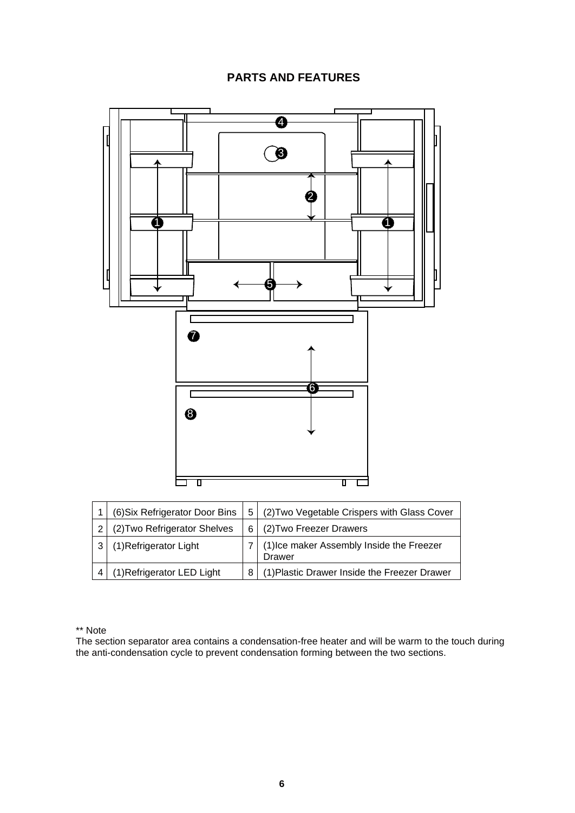## **PARTS AND FEATURES**



| (6) Six Refrigerator Door Bins | 5 | (2) Two Vegetable Crispers with Glass Cover         |
|--------------------------------|---|-----------------------------------------------------|
| (2) Two Refrigerator Shelves   | 6 | (2) Two Freezer Drawers                             |
| 3 (1) Refrigerator Light       |   | (1) Ice maker Assembly Inside the Freezer<br>Drawer |
| (1) Refrigerator LED Light     |   | (1) Plastic Drawer Inside the Freezer Drawer        |

\*\* Note

The section separator area contains a condensation-free heater and will be warm to the touch during the anti-condensation cycle to prevent condensation forming between the two sections.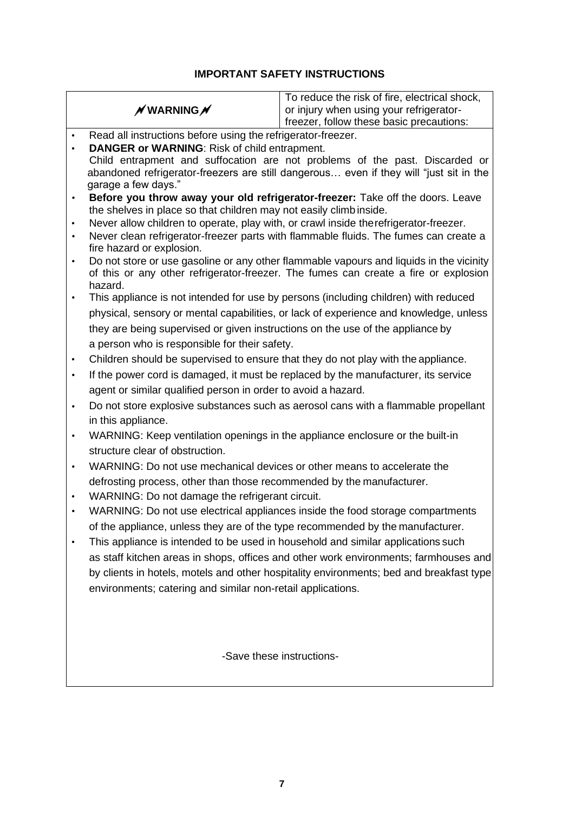## **IMPORTANT SAFETY INSTRUCTIONS**

| freezer, follow these basic precautions: |
|------------------------------------------|
|------------------------------------------|

- Read all instructions before using the refrigerator-freezer.
- **DANGER or WARNING**: Risk of child entrapment.
- Child entrapment and suffocation are not problems of the past. Discarded or abandoned refrigerator-freezers are still dangerous… even if they will "just sit in the garage a few days."
- **Before you throw away your old refrigerator-freezer:** Take off the doors. Leave the shelves in place so that children may not easily climb inside.
- Never allow children to operate, play with, or crawl inside therefrigerator-freezer.
- Never clean refrigerator-freezer parts with flammable fluids. The fumes can create a fire hazard or explosion.
- Do not store or use gasoline or any other flammable vapours and liquids in the vicinity of this or any other refrigerator-freezer. The fumes can create a fire or explosion hazard.

• This appliance is not intended for use by persons (including children) with reduced physical, sensory or mental capabilities, or lack of experience and knowledge, unless they are being supervised or given instructions on the use of the appliance by a person who is responsible for their safety.

- Children should be supervised to ensure that they do not play with the appliance.
- If the power cord is damaged, it must be replaced by the manufacturer, its service agent or similar qualified person in order to avoid a hazard.
- Do not store explosive substances such as aerosol cans with a flammable propellant in this appliance.
- WARNING: Keep ventilation openings in the appliance enclosure or the built-in structure clear of obstruction.
- WARNING: Do not use mechanical devices or other means to accelerate the defrosting process, other than those recommended by the manufacturer.
- WARNING: Do not damage the refrigerant circuit.
- WARNING: Do not use electrical appliances inside the food storage compartments of the appliance, unless they are of the type recommended by the manufacturer.
- This appliance is intended to be used in household and similar applications such as staff kitchen areas in shops, offices and other work environments; farmhouses and by clients in hotels, motels and other hospitality environments; bed and breakfast type environments; catering and similar non-retail applications.

-Save these instructions-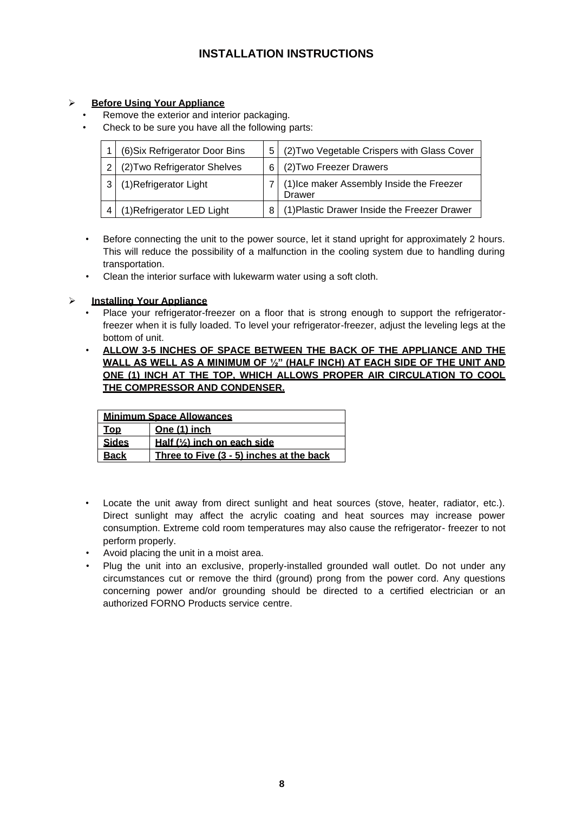## **INSTALLATION INSTRUCTIONS**

## ➢ **Before Using Your Appliance**

- Remove the exterior and interior packaging.
- Check to be sure you have all the following parts:

| (6) Six Refrigerator Door Bins | 5   (2) Two Vegetable Crispers with Glass Cover     |
|--------------------------------|-----------------------------------------------------|
| (2) Two Refrigerator Shelves   | (2) Two Freezer Drawers                             |
| 3 (1) Refrigerator Light       | (1) Ice maker Assembly Inside the Freezer<br>Drawer |
| (1) Refrigerator LED Light     | 8 (1) Plastic Drawer Inside the Freezer Drawer      |

- Before connecting the unit to the power source, let it stand upright for approximately 2 hours. This will reduce the possibility of a malfunction in the cooling system due to handling during transportation.
- Clean the interior surface with lukewarm water using a soft cloth.

## ➢ **Installing Your Appliance**

- Place your refrigerator-freezer on a floor that is strong enough to support the refrigeratorfreezer when it is fully loaded. To level your refrigerator-freezer, adjust the leveling legs at the bottom of unit.
- **ALLOW 3-5 INCHES OF SPACE BETWEEN THE BACK OF THE APPLIANCE AND THE WALL AS WELL AS A MINIMUM OF ½" (HALF INCH) AT EACH SIDE OF THE UNIT AND ONE (1) INCH AT THE TOP, WHICH ALLOWS PROPER AIR CIRCULATION TO COOL THE COMPRESSOR AND CONDENSER.**

| <b>Minimum Space Allowances</b> |                                          |  |
|---------------------------------|------------------------------------------|--|
| Гор                             | One (1) inch                             |  |
| <b>Sides</b>                    | Half $\binom{1}{2}$ inch on each side    |  |
| Back                            | Three to Five (3 - 5) inches at the back |  |

- Locate the unit away from direct sunlight and heat sources (stove, heater, radiator, etc.). Direct sunlight may affect the acrylic coating and heat sources may increase power consumption. Extreme cold room temperatures may also cause the refrigerator- freezer to not perform properly.
- Avoid placing the unit in a moist area.
- Plug the unit into an exclusive, properly-installed grounded wall outlet. Do not under any circumstances cut or remove the third (ground) prong from the power cord. Any questions concerning power and/or grounding should be directed to a certified electrician or an authorized FORNO Products service centre.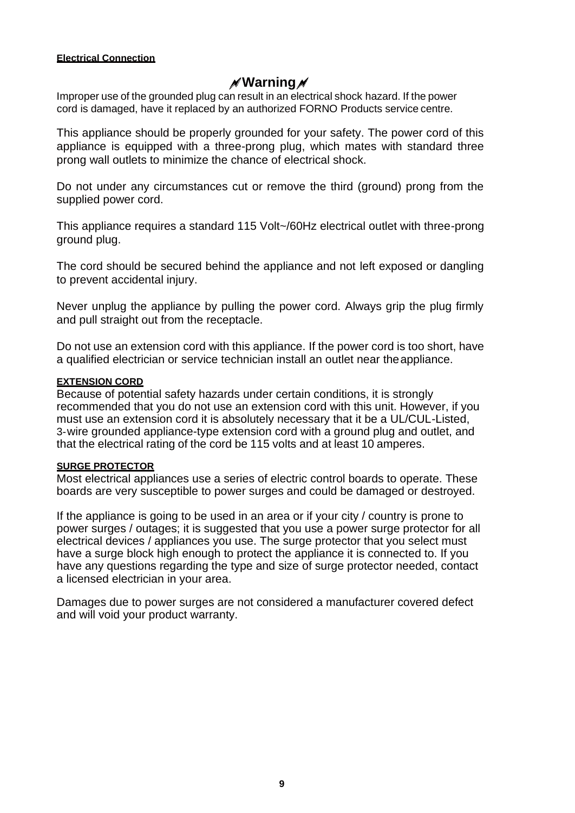#### **Electrical Connection**

## **Warning**

Improper use of the grounded plug can result in an electrical shock hazard. If the power cord is damaged, have it replaced by an authorized FORNO Products service centre.

This appliance should be properly grounded for your safety. The power cord of this appliance is equipped with a three-prong plug, which mates with standard three prong wall outlets to minimize the chance of electrical shock.

Do not under any circumstances cut or remove the third (ground) prong from the supplied power cord.

This appliance requires a standard 115 Volt~/60Hz electrical outlet with three-prong ground plug.

The cord should be secured behind the appliance and not left exposed or dangling to prevent accidental injury.

Never unplug the appliance by pulling the power cord. Always grip the plug firmly and pull straight out from the receptacle.

Do not use an extension cord with this appliance. If the power cord is too short, have a qualified electrician or service technician install an outlet near theappliance.

#### **EXTENSION CORD**

Because of potential safety hazards under certain conditions, it is strongly recommended that you do not use an extension cord with this unit. However, if you must use an extension cord it is absolutely necessary that it be a UL/CUL-Listed, 3-wire grounded appliance-type extension cord with a ground plug and outlet, and that the electrical rating of the cord be 115 volts and at least 10 amperes.

#### **SURGE PROTECTOR**

Most electrical appliances use a series of electric control boards to operate. These boards are very susceptible to power surges and could be damaged or destroyed.

If the appliance is going to be used in an area or if your city / country is prone to power surges / outages; it is suggested that you use a power surge protector for all electrical devices / appliances you use. The surge protector that you select must have a surge block high enough to protect the appliance it is connected to. If you have any questions regarding the type and size of surge protector needed, contact a licensed electrician in your area.

Damages due to power surges are not considered a manufacturer covered defect and will void your product warranty.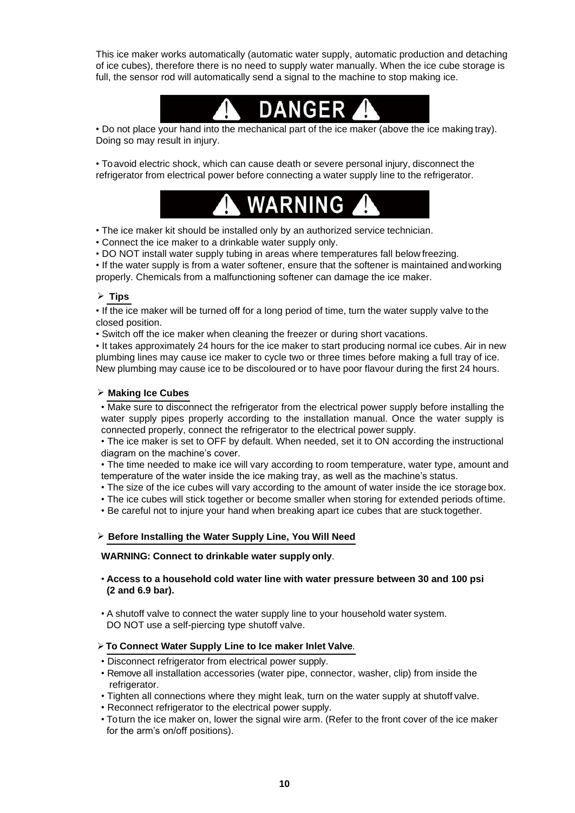This ice maker works automatically (automatic water supply, automatic production and detaching of ice cubes), therefore there is no need to supply water manually. When the ice cube storage is full, the sensor rod will automatically send a signal to the machine to stop making ice.



• Do not place your hand into the mechanical part of the ice maker (above the ice making tray). Doing so may result in injury.

• Toavoid electric shock, which can cause death or severe personal injury, disconnect the refrigerator from electrical power before connecting a water supply line to the refrigerator.



• The ice maker kit should be installed only by an authorized service technician.

- Connect the ice maker to a drinkable water supply only.
- DO NOT install water supply tubing in areas where temperatures fall below freezing.

• If the water supply is from a water softener, ensure that the softener is maintained andworking properly. Chemicals from a malfunctioning softener can damage the ice maker.

#### ➢ **Tips**

• If the ice maker will be turned off for a long period of time, turn the water supply valve to the closed position.

• Switch off the ice maker when cleaning the freezer or during short vacations.

• It takes approximately 24 hours for the ice maker to start producing normal ice cubes. Air in new plumbing lines may cause ice maker to cycle two or three times before making a full tray of ice. New plumbing may cause ice to be discoloured or to have poor flavour during the first 24 hours.

#### ➢ **Making Ice Cubes**

• Make sure to disconnect the refrigerator from the electrical power supply before installing the water supply pipes properly according to the installation manual. Once the water supply is connected properly, connect the refrigerator to the electrical power supply.

• The ice maker is set to OFF by default. When needed, set it to ON according the instructional diagram on the machine's cover.

• The time needed to make ice will vary according to room temperature, water type, amount and temperature of the water inside the ice making tray, as well as the machine's status.

- The size of the ice cubes will vary according to the amount of water inside the ice storage box.
- The ice cubes will stick together or become smaller when storing for extended periods oftime.
- Be careful not to injure your hand when breaking apart ice cubes that are stuck together.

#### ➢ **Before Installing the Water Supply Line, You Will Need**

#### **WARNING: Connect to drinkable water supply only**.

- **Access to a household cold water line with water pressure between 30 and 100 psi (2 and 6.9 bar).**
- A shutoff valve to connect the water supply line to your household water system. DO NOT use a self-piercing type shutoff valve.

#### ➢**To Connect Water Supply Line to Ice maker Inlet Valve**.

- Disconnect refrigerator from electrical power supply.
- Remove all installation accessories (water pipe, connector, washer, clip) from inside the refrigerator.
- Tighten all connections where they might leak, turn on the water supply at shutoff valve.
- Reconnect refrigerator to the electrical power supply.
- Toturn the ice maker on, lower the signal wire arm. (Refer to the front cover of the ice maker for the arm's on/off positions).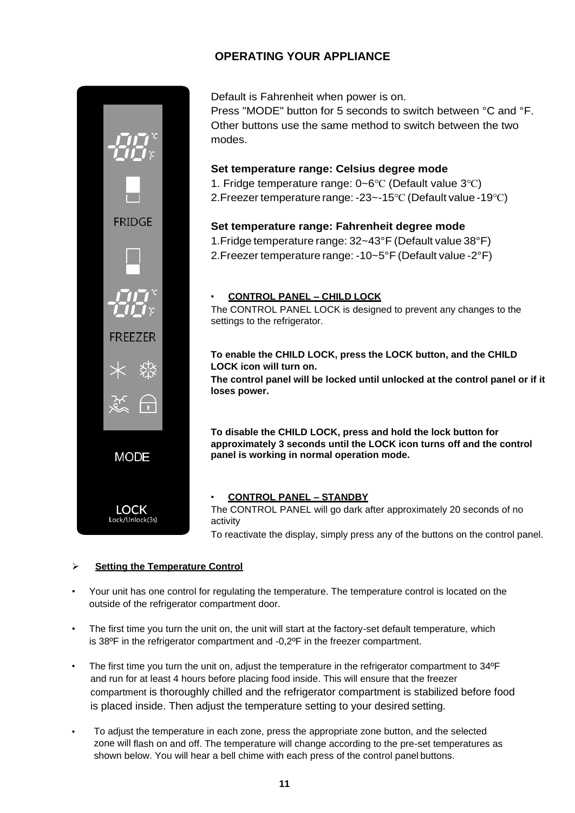## **OPERATING YOUR APPLIANCE**

<span id="page-10-0"></span>

Default is Fahrenheit when power is on. Press "MODE" button for 5 seconds to switch between °C and °F. Other buttons use the same method to switch between the two modes.

**Set temperature range: Celsius degree mode** 1. Fridge temperature range: 0~6℃ (Default value 3℃) 2.Freezer temperature range: -23~-15℃ (Default value -19℃)

**Set temperature range: Fahrenheit degree mode**  1.Fridge temperature range: 32~43°F (Default value 38°F) 2.Freezer temperature range: -10~5°F (Default value -2°F)

• **CONTROL PANEL – CHILD LOCK** The CONTROL PANEL LOCK is designed to prevent any changes to the settings to the refrigerator.

**To enable the CHILD LOCK, press the LOCK button, and the CHILD LOCK icon will turn on. The control panel will be locked until unlocked at the control panel or if it** 

**loses power.**

**To disable the CHILD LOCK, press and hold the lock button for approximately 3 seconds until the LOCK icon turns off and the control panel is working in normal operation mode.**

## • **CONTROL PANEL – STANDBY**

The CONTROL PANEL will go dark after approximately 20 seconds of no activity

To reactivate the display, simply press any of the buttons on the control panel.

#### ➢ **Setting the Temperature Control**

- Your unit has one control for regulating the temperature. The temperature control is located on the outside of the refrigerator compartment door.
- The first time you turn the unit on, the unit will start at the factory-set default temperature, which is 38ºF in the refrigerator compartment and -0,2ºF in the freezer compartment.
- The first time you turn the unit on, adjust the temperature in the refrigerator compartment to 34ºF and run for at least 4 hours before placing food inside. This will ensure that the freezer compartment is thoroughly chilled and the refrigerator compartment is stabilized before food is placed inside. Then adjust the temperature setting to your desired setting.
- To adjust the temperature in each zone, press the appropriate zone button, and the selected zone will flash on and off. The temperature will change according to the pre-set temperatures as shown below. You will hear a bell chime with each press of the control panel buttons.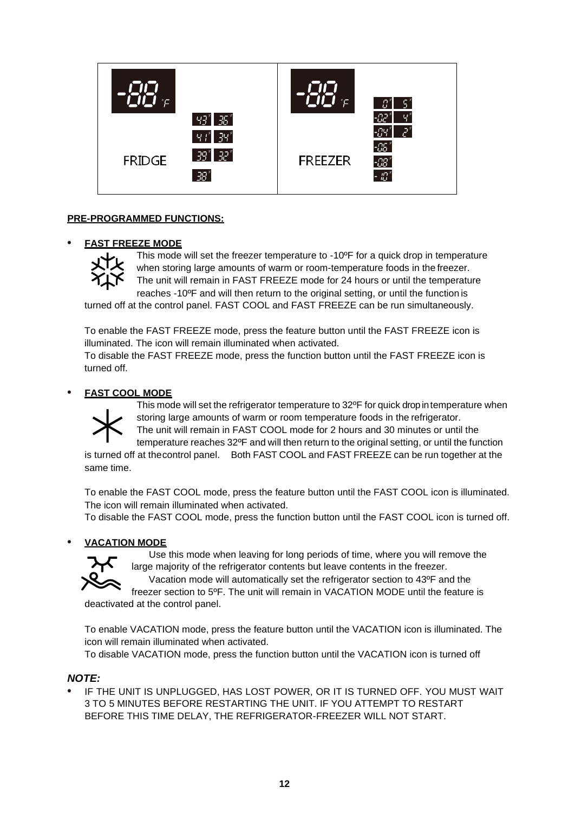

#### **PRE-PROGRAMMED FUNCTIONS:**

#### **• FAST FREEZE MODE**



This mode will set the freezer temperature to -10ºF for a quick drop in temperature when storing large amounts of warm or room-temperature foods in the freezer. The unit will remain in FAST FREEZE mode for 24 hours or until the temperature reaches -10ºF and will then return to the original setting, or until the function is

turned off at the control panel. FAST COOL and FAST FREEZE can be run simultaneously.

To enable the FAST FREEZE mode, press the feature button until the FAST FREEZE icon is illuminated. The icon will remain illuminated when activated.

To disable the FAST FREEZE mode, press the function button until the FAST FREEZE icon is turned off.

#### **• FAST COOL MODE**



This mode will set the refrigerator temperature to 32ºF for quick dropintemperature when storing large amounts of warm or room temperature foods in the refrigerator.

The unit will remain in FAST COOL mode for 2 hours and 30 minutes or until the

temperature reaches 32ºF and will then return to the original setting, or until the function is turned off at thecontrol panel. Both FAST COOL and FAST FREEZE can be run together at the same time.

To enable the FAST COOL mode, press the feature button until the FAST COOL icon is illuminated. The icon will remain illuminated when activated.

To disable the FAST COOL mode, press the function button until the FAST COOL icon is turned off.

## **• VACATION MODE**



Use this mode when leaving for long periods of time, where you will remove the large majority of the refrigerator contents but leave contents in the freezer. Vacation mode will automatically set the refrigerator section to 43ºF and the freezer section to 5ºF. The unit will remain in VACATION MODE until the feature is

deactivated at the control panel.

To enable VACATION mode, press the feature button until the VACATION icon is illuminated. The icon will remain illuminated when activated.

To disable VACATION mode, press the function button until the VACATION icon is turned off

#### *NOTE:*

**•** IF THE UNIT IS UNPLUGGED, HAS LOST POWER, OR IT IS TURNED OFF. YOU MUST WAIT 3 TO 5 MINUTES BEFORE RESTARTING THE UNIT. IF YOU ATTEMPT TO RESTART BEFORE THIS TIME DELAY, THE REFRIGERATOR-FREEZER WILL NOT START.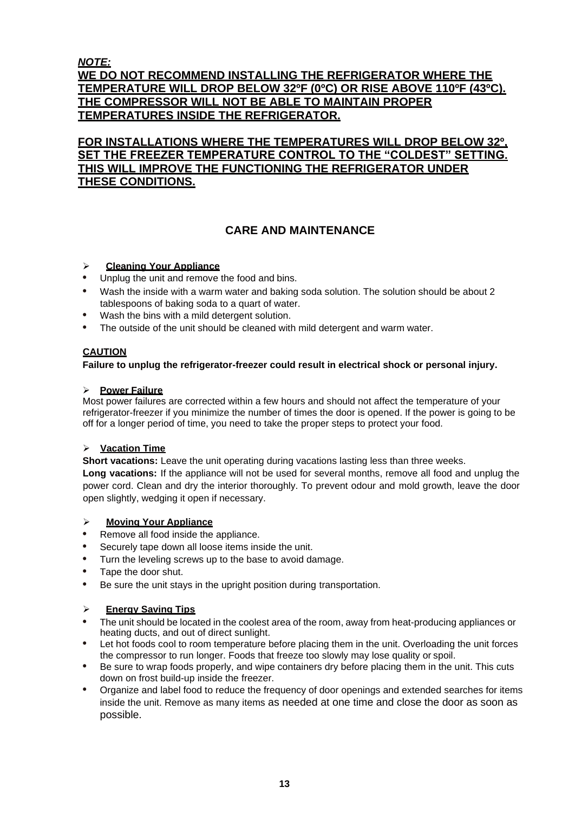*NOTE:*

## **WE DO NOT RECOMMEND INSTALLING THE REFRIGERATOR WHERE THE TEMPERATURE WILL DROP BELOW 32ºF (0ºC) OR RISE ABOVE 110ºF (43ºC). THE COMPRESSOR WILL NOT BE ABLE TO MAINTAIN PROPER TEMPERATURES INSIDE THE REFRIGERATOR.**

## **FOR INSTALLATIONS WHERE THE TEMPERATURES WILL DROP BELOW 32º, SET THE FREEZER TEMPERATURE CONTROL TO THE "COLDEST" SETTING. THIS WILL IMPROVE THE FUNCTIONING THE REFRIGERATOR UNDER THESE CONDITIONS.**

## **CARE AND MAINTENANCE**

## <span id="page-12-1"></span><span id="page-12-0"></span>➢ **Cleaning Your Appliance**

- **•** Unplug the unit and remove the food and bins.
- **•** Wash the inside with a warm water and baking soda solution. The solution should be about 2 tablespoons of baking soda to a quart of water.
- **•** Wash the bins with a mild detergent solution.
- **•** The outside of the unit should be cleaned with mild detergent and warm water.

## **CAUTION**

## **Failure to unplug the refrigerator-freezer could result in electrical shock or personal injury.**

## ➢ **Power Failure**

Most power failures are corrected within a few hours and should not affect the temperature of your refrigerator-freezer if you minimize the number of times the door is opened. If the power is going to be off for a longer period of time, you need to take the proper steps to protect your food.

## ➢ **Vacation Time**

**Short vacations:** Leave the unit operating during vacations lasting less than three weeks. **Long vacations:** If the appliance will not be used for several months, remove all food and unplug the power cord. Clean and dry the interior thoroughly. To prevent odour and mold growth, leave the door open slightly, wedging it open if necessary.

## ➢ **Moving Your Appliance**

- **•** Remove all food inside the appliance.
- **•** Securely tape down all loose items inside the unit.
- **•** Turn the leveling screws up to the base to avoid damage.
- **•** Tape the door shut.
- **•** Be sure the unit stays in the upright position during transportation.

## <span id="page-12-2"></span>➢ **Energy Saving Tips**

- **•** The unit should be located in the coolest area of the room, away from heat-producing appliances or heating ducts, and out of direct sunlight.
- **•** Let hot foods cool to room temperature before placing them in the unit. Overloading the unit forces the compressor to run longer. Foods that freeze too slowly may lose quality or spoil.
- **•** Be sure to wrap foods properly, and wipe containers dry before placing them in the unit. This cuts down on frost build-up inside the freezer.
- **•** Organize and label food to reduce the frequency of door openings and extended searches for items inside the unit. Remove as many items as needed at one time and close the door as soon as possible.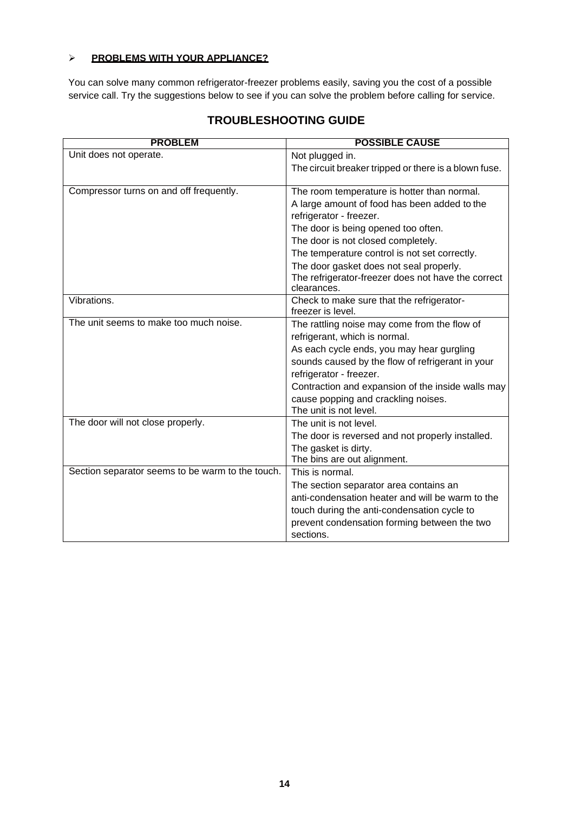#### ➢ **PROBLEMS WITH YOUR APPLIANCE?**

You can solve many common refrigerator-freezer problems easily, saving you the cost of a possible service call. Try the suggestions below to see if you can solve the problem before calling for service.

<span id="page-13-0"></span>

| <b>PROBLEM</b>                                   | <b>POSSIBLE CAUSE</b>                                             |
|--------------------------------------------------|-------------------------------------------------------------------|
| Unit does not operate.                           | Not plugged in.                                                   |
|                                                  | The circuit breaker tripped or there is a blown fuse.             |
| Compressor turns on and off frequently.          | The room temperature is hotter than normal.                       |
|                                                  | A large amount of food has been added to the                      |
|                                                  | refrigerator - freezer.                                           |
|                                                  | The door is being opened too often.                               |
|                                                  | The door is not closed completely.                                |
|                                                  | The temperature control is not set correctly.                     |
|                                                  | The door gasket does not seal properly.                           |
|                                                  | The refrigerator-freezer does not have the correct<br>clearances. |
| Vibrations.                                      | Check to make sure that the refrigerator-                         |
|                                                  | freezer is level.                                                 |
| The unit seems to make too much noise.           | The rattling noise may come from the flow of                      |
|                                                  | refrigerant, which is normal.                                     |
|                                                  | As each cycle ends, you may hear gurgling                         |
|                                                  | sounds caused by the flow of refrigerant in your                  |
|                                                  | refrigerator - freezer.                                           |
|                                                  | Contraction and expansion of the inside walls may                 |
|                                                  | cause popping and crackling noises.<br>The unit is not level.     |
| The door will not close properly.                | The unit is not level.                                            |
|                                                  | The door is reversed and not properly installed.                  |
|                                                  | The gasket is dirty.                                              |
|                                                  | The bins are out alignment.                                       |
| Section separator seems to be warm to the touch. | This is normal.                                                   |
|                                                  | The section separator area contains an                            |
|                                                  | anti-condensation heater and will be warm to the                  |
|                                                  | touch during the anti-condensation cycle to                       |
|                                                  | prevent condensation forming between the two                      |
|                                                  | sections.                                                         |

## **TROUBLESHOOTING GUIDE**